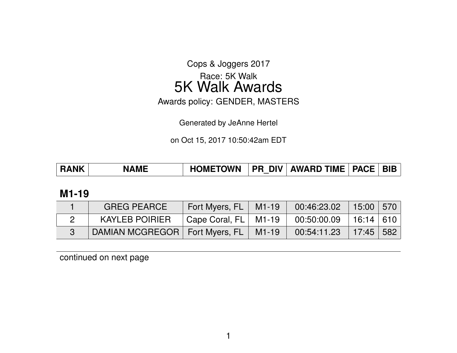Cops & Joggers 2017

# Race: 5K Walk 5K Walk Awards

Awards policy: GENDER, MASTERS

Generated by JeAnne Hertel

on Oct 15, 2017 10:50:42am EDT

| HOMETOWN   PR DIV   AWARD TIME   PACE   BIB  <br><b>RANK</b><br><b>NAME</b> |  |  |  |  |  |  |  |
|-----------------------------------------------------------------------------|--|--|--|--|--|--|--|
|-----------------------------------------------------------------------------|--|--|--|--|--|--|--|

#### **M1-19**

| <b>GREG PEARCE</b>                       | Fort Myers, FL   M1-19                       | $\begin{array}{ c c c c c c c c } \hline 00:46:23.02 & 15:00 & 570 \hline \end{array}$ |  |
|------------------------------------------|----------------------------------------------|----------------------------------------------------------------------------------------|--|
| <b>KAYLEB POIRIER</b>                    | $\vert$ Cape Coral, FL $\vert$ M1-19 $\vert$ | $\begin{array}{ c c c c c c c c } \hline 00:50:00.09 & 16:14 & 610 \hline \end{array}$ |  |
| DAMIAN MCGREGOR   Fort Myers, FL   M1-19 |                                              | $\begin{array}{ c c c c c c c c } \hline 00:54:11.23 & 17:45 & 582 \hline \end{array}$ |  |

continued on next page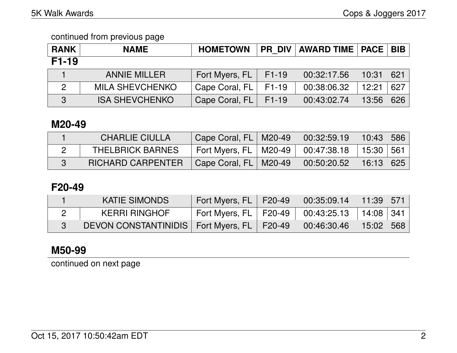#### continued from previous page

| <b>RANK</b> | <b>NAME</b>            | <b>HOMETOWN</b>        |       | <b>PR DIV AWARD TIME   PACE   BIB  </b> |       |     |
|-------------|------------------------|------------------------|-------|-----------------------------------------|-------|-----|
| $F1-19$     |                        |                        |       |                                         |       |     |
|             | <b>ANNIE MILLER</b>    | Fort Myers, FL   F1-19 |       | 00:32:17.56                             | 10:31 | 621 |
| 2           | <b>MILA SHEVCHENKO</b> | Cape Coral, FL         | F1-19 | 00:38:06.32                             | 12:21 | 627 |
| 3           | <b>ISA SHEVCHENKO</b>  | Cape Coral, FL   F1-19 |       | 00:43:02.74                             | 13:56 | 626 |

### **M20-49**

| <b>CHARLIE CIULLA</b>    | Cape Coral, FL   M20-49           | 00:32:59.19 | 10:43            | $\vert$ 586 |
|--------------------------|-----------------------------------|-------------|------------------|-------------|
| <b>THELBRICK BARNES</b>  | Fort Myers, $FL \mid M20-49 \mid$ | 00:47:38.18 | $15:30 \mid 561$ |             |
| <b>RICHARD CARPENTER</b> | Cape Coral, FL   M20-49           | 00:50:20.52 | $16:13$ 625      |             |

### **F20-49**

| <b>KATIE SIMONDS</b>                           | Fort Myers, $FL$   F20-49                         | $00:35:09.14$   11:39   571 |             |  |
|------------------------------------------------|---------------------------------------------------|-----------------------------|-------------|--|
| <b>KERRI RINGHOF</b>                           | $\perp$ Fort Myers, FL $\parallel$ F20-49 $\perp$ | 00:43:25.13                 | 14:08   341 |  |
| DEVON CONSTANTINIDIS   Fort Myers, FL   F20-49 |                                                   | 00:46:30.46                 | $15:02$ 568 |  |

# **M50-99**

continued on next page